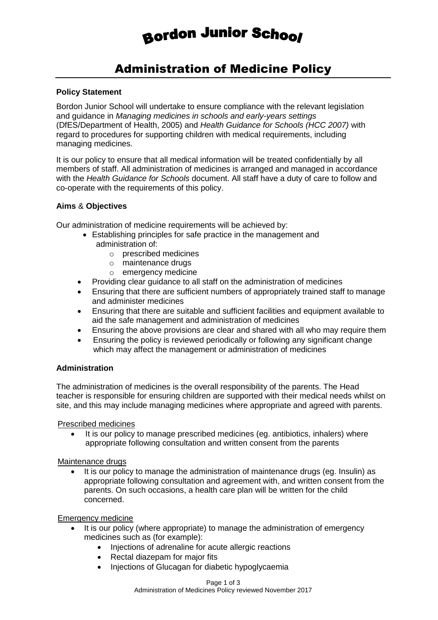# **Bordon Junior School**

# Administration of Medicine Policy

# **Policy Statement**

Bordon Junior School will undertake to ensure compliance with the relevant legislation and guidance in *Managing medicines in schools and early-years settings*  (DfES/Department of Health, 2005) and *Health Guidance for Schools (HCC 2007)* with regard to procedures for supporting children with medical requirements, including managing medicines.

It is our policy to ensure that all medical information will be treated confidentially by all members of staff. All administration of medicines is arranged and managed in accordance with the *Health Guidance for Schools* document. All staff have a duty of care to follow and co-operate with the requirements of this policy.

#### **Aims** & **Objectives**

Our administration of medicine requirements will be achieved by:

- Establishing principles for safe practice in the management and administration of:
	- o prescribed medicines
	- o maintenance drugs
	- o emergency medicine
- Providing clear guidance to all staff on the administration of medicines
- Ensuring that there are sufficient numbers of appropriately trained staff to manage and administer medicines
- Ensuring that there are suitable and sufficient facilities and equipment available to aid the safe management and administration of medicines
- Ensuring the above provisions are clear and shared with all who may require them
- Ensuring the policy is reviewed periodically or following any significant change which may affect the management or administration of medicines

# **Administration**

The administration of medicines is the overall responsibility of the parents. The Head teacher is responsible for ensuring children are supported with their medical needs whilst on site, and this may include managing medicines where appropriate and agreed with parents.

#### Prescribed medicines

 It is our policy to manage prescribed medicines (eg. antibiotics, inhalers) where appropriate following consultation and written consent from the parents

#### Maintenance drugs

 It is our policy to manage the administration of maintenance drugs (eg. Insulin) as appropriate following consultation and agreement with, and written consent from the parents. On such occasions, a health care plan will be written for the child concerned.

#### Emergency medicine

- It is our policy (where appropriate) to manage the administration of emergency medicines such as (for example):
	- Injections of adrenaline for acute allergic reactions
	- Rectal diazepam for major fits
	- Injections of Glucagan for diabetic hypoglycaemia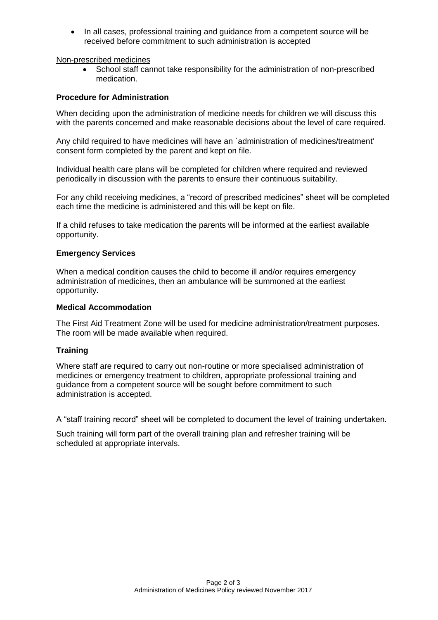• In all cases, professional training and quidance from a competent source will be received before commitment to such administration is accepted

Non-prescribed medicines

 School staff cannot take responsibility for the administration of non-prescribed medication.

# **Procedure for Administration**

When deciding upon the administration of medicine needs for children we will discuss this with the parents concerned and make reasonable decisions about the level of care required.

Any child required to have medicines will have an `administration of medicines/treatment' consent form completed by the parent and kept on file.

Individual health care plans will be completed for children where required and reviewed periodically in discussion with the parents to ensure their continuous suitability.

For any child receiving medicines, a "record of prescribed medicines" sheet will be completed each time the medicine is administered and this will be kept on file.

If a child refuses to take medication the parents will be informed at the earliest available opportunity.

#### **Emergency Services**

When a medical condition causes the child to become ill and/or requires emergency administration of medicines, then an ambulance will be summoned at the earliest opportunity.

#### **Medical Accommodation**

The First Aid Treatment Zone will be used for medicine administration/treatment purposes. The room will be made available when required.

# **Training**

Where staff are required to carry out non-routine or more specialised administration of medicines or emergency treatment to children, appropriate professional training and guidance from a competent source will be sought before commitment to such administration is accepted.

A "staff training record" sheet will be completed to document the level of training undertaken.

Such training will form part of the overall training plan and refresher training will be scheduled at appropriate intervals.